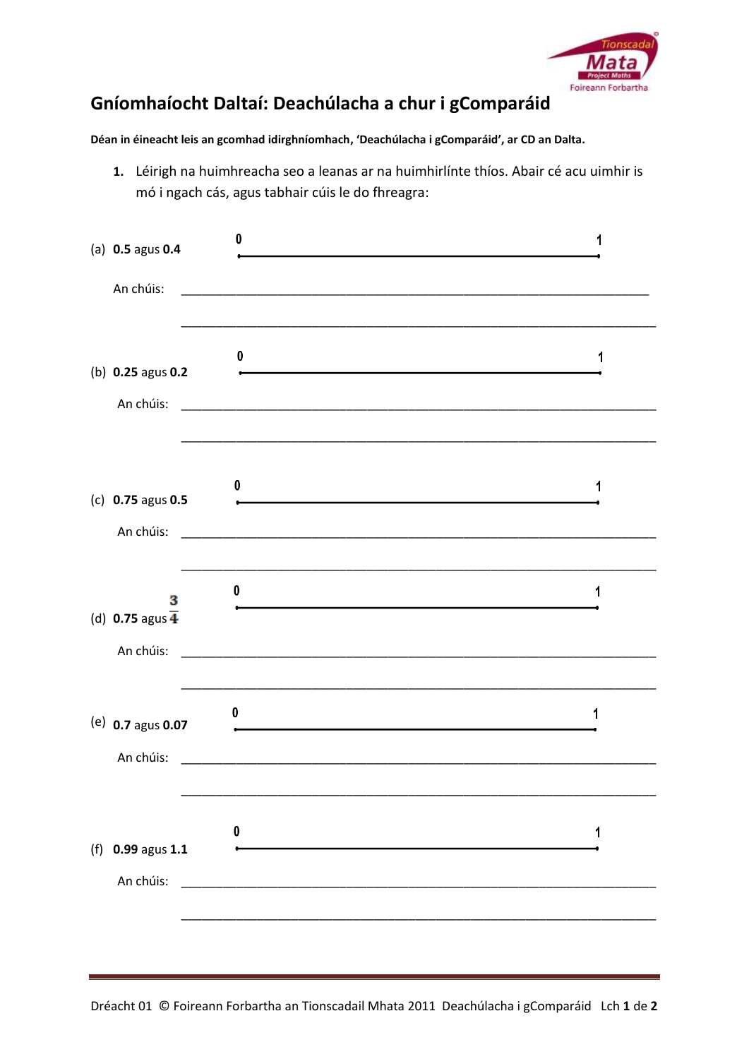

## **Gníomhaíocht Daltaí: Deachúlacha a chur i gComparáid**

## **Déan in éineacht leis an gcomhad idirghníomhach, 'Deachúlacha i gComparáid', ar CD an Dalta.**

**1.** Léirigh na huimhreacha seo a leanas ar na huimhirlínte thíos. Abair cé acu uimhir is mó i ngach cás, agus tabhair cúis le do fhreagra:

| (a) $0.5$ agus $0.4$<br>An chúis:              | 0                                                                                                                          |   |
|------------------------------------------------|----------------------------------------------------------------------------------------------------------------------------|---|
| (b) 0.25 agus 0.2<br>An chúis:                 | 0<br><u> 1980 - Johann Barbara, martin amerikan basar dan berasal dalam basar dalam basar dalam basar dalam basar dala</u> | 1 |
| (c) 0.75 agus 0.5<br>An chúis:                 | 0                                                                                                                          | 1 |
| 3<br>(d) 0.75 agus $\overline{4}$<br>An chúis: | 0<br>the control of the control of the control of the control of the control of the control of                             | 1 |
| (e) $0.7$ agus $0.07$<br>An chúis:             | 0                                                                                                                          | 1 |
| (f) 0.99 agus 1.1<br>An chúis:                 | 0                                                                                                                          | 1 |